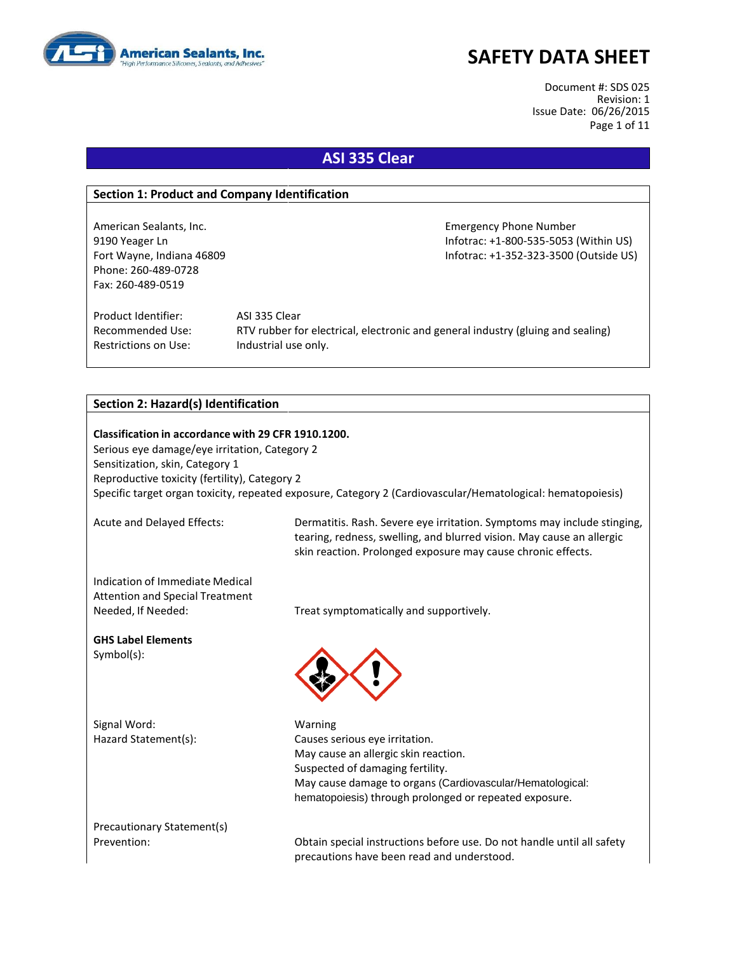

Document #: SDS 025 Revision: 1 Issue Date: 06/26/2015 Page 1 of 11

## **ASI 335 Clear**

### **Section 1: Product and Company Identification**

Phone: 260-489-0728 Fax: 260-489-0519

American Sealants, Inc. **Emergency Phone Number** Emergency Phone Number 9190 Yeager Ln Infotrac: +1-800-535-5053 (Within US) Fort Wayne, Indiana 46809 **Information Controller Mayne, Information Controller Controller Controller Controller** 

Product Identifier: ASI 335 Clear Restrictions on Use: Industrial use only.

Recommended Use: RTV rubber for electrical, electronic and general industry (gluing and sealing)

### **Section 2: Hazard(s) Identification**

**Classification in accordance with 29 CFR 1910.1200.** Serious eye damage/eye irritation, Category 2 Sensitization, skin, Category 1 Reproductive toxicity (fertility), Category 2 Specific target organ toxicity, repeated exposure, Category 2 (Cardiovascular/Hematological: hematopoiesis)

Acute and Delayed Effects: Dermatitis. Rash. Severe eye irritation. Symptoms may include stinging, tearing, redness, swelling, and blurred vision. May cause an allergic skin reaction. Prolonged exposure may cause chronic effects.

Indication of Immediate Medical Attention and Special Treatment Needed, If Needed: Treat symptomatically and supportively.

**GHS Label Elements** Symbol(s):

Signal Word: Warning



Hazard Statement(s): Causes serious eye irritation. May cause an allergic skin reaction. Suspected of damaging fertility. May cause damage to organs (Cardiovascular/Hematological: hematopoiesis) through prolonged or repeated exposure.

Precautionary Statement(s)

Prevention: Obtain special instructions before use. Do not handle until all safety precautions have been read and understood.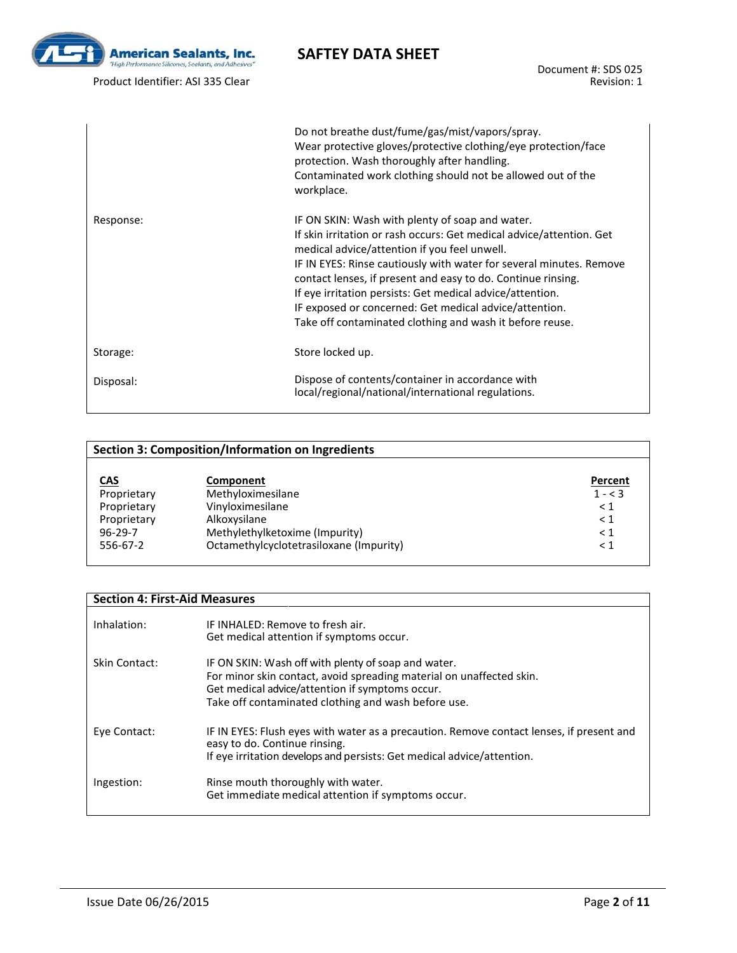

Document #: SDS 025 Revision: 1

|           | Do not breathe dust/fume/gas/mist/vapors/spray.<br>Wear protective gloves/protective clothing/eye protection/face<br>protection. Wash thoroughly after handling.<br>Contaminated work clothing should not be allowed out of the<br>workplace.                                                                                                                                                                                                                                                     |
|-----------|---------------------------------------------------------------------------------------------------------------------------------------------------------------------------------------------------------------------------------------------------------------------------------------------------------------------------------------------------------------------------------------------------------------------------------------------------------------------------------------------------|
| Response: | IF ON SKIN: Wash with plenty of soap and water.<br>If skin irritation or rash occurs: Get medical advice/attention. Get<br>medical advice/attention if you feel unwell.<br>IF IN EYES: Rinse cautiously with water for several minutes. Remove<br>contact lenses, if present and easy to do. Continue rinsing.<br>If eye irritation persists: Get medical advice/attention.<br>IF exposed or concerned: Get medical advice/attention.<br>Take off contaminated clothing and wash it before reuse. |
| Storage:  | Store locked up.                                                                                                                                                                                                                                                                                                                                                                                                                                                                                  |
| Disposal: | Dispose of contents/container in accordance with<br>local/regional/national/international regulations.                                                                                                                                                                                                                                                                                                                                                                                            |

|               | Section 3: Composition/Information on Ingredients |           |
|---------------|---------------------------------------------------|-----------|
|               |                                                   |           |
| <u>CAS</u>    | Component                                         | Percent   |
| Proprietary   | Methyloximesilane                                 | $1 - < 3$ |
| Proprietary   | Vinyloximesilane                                  | $\leq 1$  |
| Proprietary   | Alkoxysilane                                      | $\leq 1$  |
| $96 - 29 - 7$ | Methylethylketoxime (Impurity)                    | $\leq 1$  |
| 556-67-2      | Octamethylcyclotetrasiloxane (Impurity)           | $\leq 1$  |

### **Section 4: First-Aid Measures**

| Inhalation:   | IF INHALED: Remove to fresh air.<br>Get medical attention if symptoms occur.                                                                                                                                                          |
|---------------|---------------------------------------------------------------------------------------------------------------------------------------------------------------------------------------------------------------------------------------|
| Skin Contact: | IF ON SKIN: Wash off with plenty of soap and water.<br>For minor skin contact, avoid spreading material on unaffected skin.<br>Get medical advice/attention if symptoms occur.<br>Take off contaminated clothing and wash before use. |
| Eye Contact:  | IF IN EYES: Flush eyes with water as a precaution. Remove contact lenses, if present and<br>easy to do. Continue rinsing.<br>If eye irritation develops and persists: Get medical advice/attention.                                   |
| Ingestion:    | Rinse mouth thoroughly with water.<br>Get immediate medical attention if symptoms occur.                                                                                                                                              |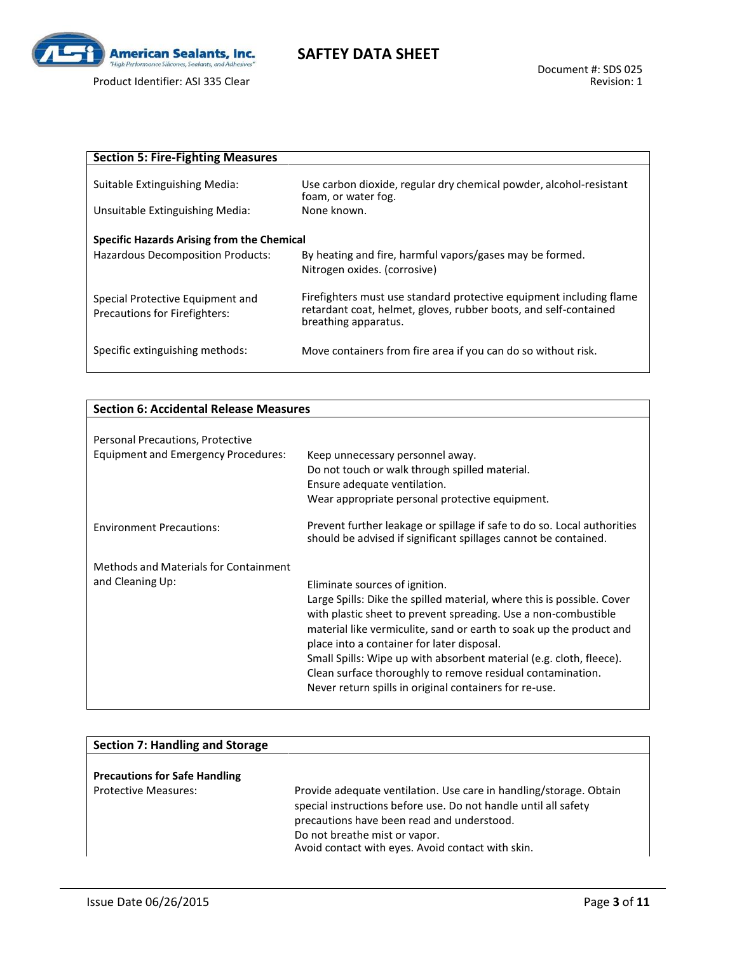

# **SAFTEY DATA SHEET**

| <b>Section 5: Fire-Fighting Measures</b>                                               |                                                                                                                                                                 |
|----------------------------------------------------------------------------------------|-----------------------------------------------------------------------------------------------------------------------------------------------------------------|
| Suitable Extinguishing Media:                                                          | Use carbon dioxide, regular dry chemical powder, alcohol-resistant<br>foam, or water fog.                                                                       |
| Unsuitable Extinguishing Media:                                                        | None known.                                                                                                                                                     |
| Specific Hazards Arising from the Chemical<br><b>Hazardous Decomposition Products:</b> | By heating and fire, harmful vapors/gases may be formed.<br>Nitrogen oxides. (corrosive)                                                                        |
| Special Protective Equipment and<br>Precautions for Firefighters:                      | Firefighters must use standard protective equipment including flame<br>retardant coat, helmet, gloves, rubber boots, and self-contained<br>breathing apparatus. |
| Specific extinguishing methods:                                                        | Move containers from fire area if you can do so without risk.                                                                                                   |

| <b>Section 6: Accidental Release Measures</b> |                                                                                                                                                                                                                                                                                                                                                                                                                                                              |
|-----------------------------------------------|--------------------------------------------------------------------------------------------------------------------------------------------------------------------------------------------------------------------------------------------------------------------------------------------------------------------------------------------------------------------------------------------------------------------------------------------------------------|
|                                               |                                                                                                                                                                                                                                                                                                                                                                                                                                                              |
| Personal Precautions, Protective              |                                                                                                                                                                                                                                                                                                                                                                                                                                                              |
| <b>Equipment and Emergency Procedures:</b>    | Keep unnecessary personnel away.                                                                                                                                                                                                                                                                                                                                                                                                                             |
|                                               | Do not touch or walk through spilled material.                                                                                                                                                                                                                                                                                                                                                                                                               |
|                                               | Ensure adequate ventilation.                                                                                                                                                                                                                                                                                                                                                                                                                                 |
|                                               | Wear appropriate personal protective equipment.                                                                                                                                                                                                                                                                                                                                                                                                              |
| <b>Environment Precautions:</b>               | Prevent further leakage or spillage if safe to do so. Local authorities<br>should be advised if significant spillages cannot be contained.                                                                                                                                                                                                                                                                                                                   |
| Methods and Materials for Containment         |                                                                                                                                                                                                                                                                                                                                                                                                                                                              |
| and Cleaning Up:                              | Eliminate sources of ignition.                                                                                                                                                                                                                                                                                                                                                                                                                               |
|                                               | Large Spills: Dike the spilled material, where this is possible. Cover<br>with plastic sheet to prevent spreading. Use a non-combustible<br>material like vermiculite, sand or earth to soak up the product and<br>place into a container for later disposal.<br>Small Spills: Wipe up with absorbent material (e.g. cloth, fleece).<br>Clean surface thoroughly to remove residual contamination.<br>Never return spills in original containers for re-use. |

| <b>Section 7: Handling and Storage</b> |                                                                                                                                                                                                                                                                           |
|----------------------------------------|---------------------------------------------------------------------------------------------------------------------------------------------------------------------------------------------------------------------------------------------------------------------------|
| <b>Precautions for Safe Handling</b>   |                                                                                                                                                                                                                                                                           |
| <b>Protective Measures:</b>            | Provide adequate ventilation. Use care in handling/storage. Obtain<br>special instructions before use. Do not handle until all safety<br>precautions have been read and understood.<br>Do not breathe mist or vapor.<br>Avoid contact with eyes. Avoid contact with skin. |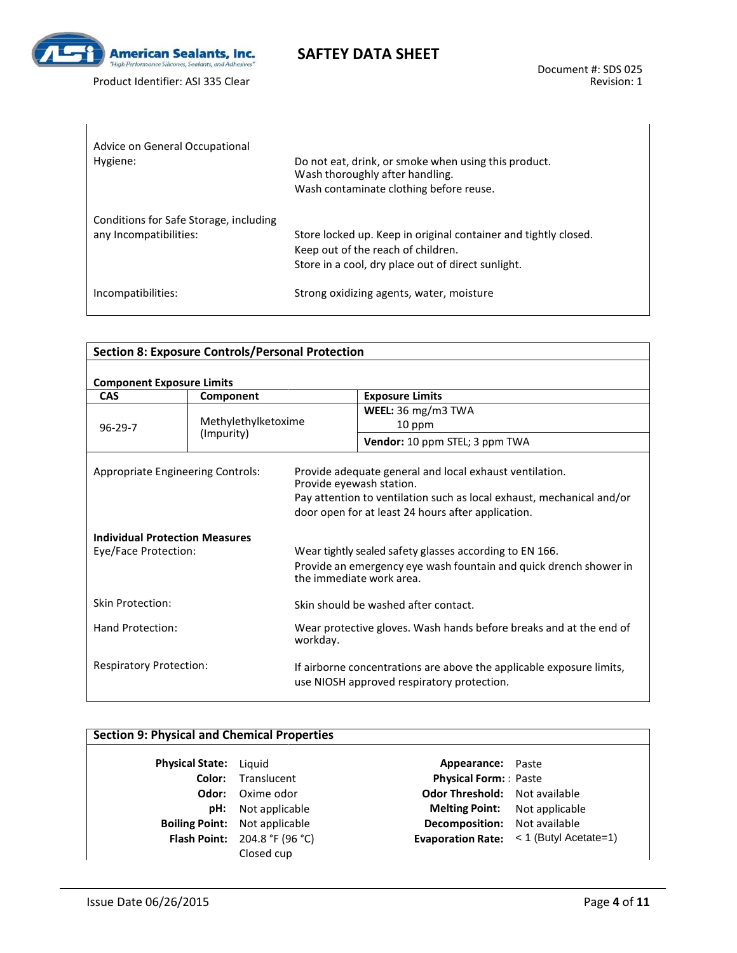

| Advice on General Occupational<br>Hygiene:                       | Do not eat, drink, or smoke when using this product.<br>Wash thoroughly after handling.<br>Wash contaminate clothing before reuse.                          |
|------------------------------------------------------------------|-------------------------------------------------------------------------------------------------------------------------------------------------------------|
| Conditions for Safe Storage, including<br>any Incompatibilities: | Store locked up. Keep in original container and tightly closed.<br>Keep out of the reach of children.<br>Store in a cool, dry place out of direct sunlight. |
| Incompatibilities:                                               | Strong oxidizing agents, water, moisture                                                                                                                    |

**SAFTEY DATA SHEET**

| <b>Section 8: Exposure Controls/Personal Protection</b> |           |                                                                                               |                                                                                                                                                                                        |  |
|---------------------------------------------------------|-----------|-----------------------------------------------------------------------------------------------|----------------------------------------------------------------------------------------------------------------------------------------------------------------------------------------|--|
| <b>Component Exposure Limits</b>                        |           |                                                                                               |                                                                                                                                                                                        |  |
| <b>CAS</b>                                              | Component |                                                                                               | <b>Exposure Limits</b>                                                                                                                                                                 |  |
|                                                         |           |                                                                                               | WEEL: $36 \text{ mg/m}$ 3 TWA                                                                                                                                                          |  |
| Methylethylketoxime<br>$96 - 29 - 7$<br>(Impurity)      |           | 10 ppm                                                                                        |                                                                                                                                                                                        |  |
|                                                         |           |                                                                                               | Vendor: 10 ppm STEL; 3 ppm TWA                                                                                                                                                         |  |
| <b>Appropriate Engineering Controls:</b>                |           | Provide eyewash station.                                                                      | Provide adequate general and local exhaust ventilation.<br>Pay attention to ventilation such as local exhaust, mechanical and/or<br>door open for at least 24 hours after application. |  |
| <b>Individual Protection Measures</b>                   |           |                                                                                               |                                                                                                                                                                                        |  |
| Eye/Face Protection:                                    |           |                                                                                               | Wear tightly sealed safety glasses according to EN 166.                                                                                                                                |  |
|                                                         |           | Provide an emergency eye wash fountain and quick drench shower in<br>the immediate work area. |                                                                                                                                                                                        |  |
| <b>Skin Protection:</b>                                 |           |                                                                                               | Skin should be washed after contact.                                                                                                                                                   |  |
| Hand Protection:<br>workday.                            |           | Wear protective gloves. Wash hands before breaks and at the end of                            |                                                                                                                                                                                        |  |
| <b>Respiratory Protection:</b>                          |           |                                                                                               | If airborne concentrations are above the applicable exposure limits,<br>use NIOSH approved respiratory protection.                                                                     |  |

## **Section 9: Physical and Chemical Properties**

| <b>Physical State:</b> | Liguid           |
|------------------------|------------------|
| Color:                 | Translucent      |
| Odor:                  | Oxime odor       |
| pH:                    | Not applicable   |
| <b>Boiling Point:</b>  | Not applicable   |
| <b>Flash Point:</b>    | 204.8 °F (96 °C) |
|                        | Closed cup       |

**Appearance:** Paste **Physical Form:** : Paste **Odor Threshold:** Not available **Melting Point:** Not applicable **Becomposition:** Not available **Evaporation Rate:** < 1 (Butyl Acetate=1)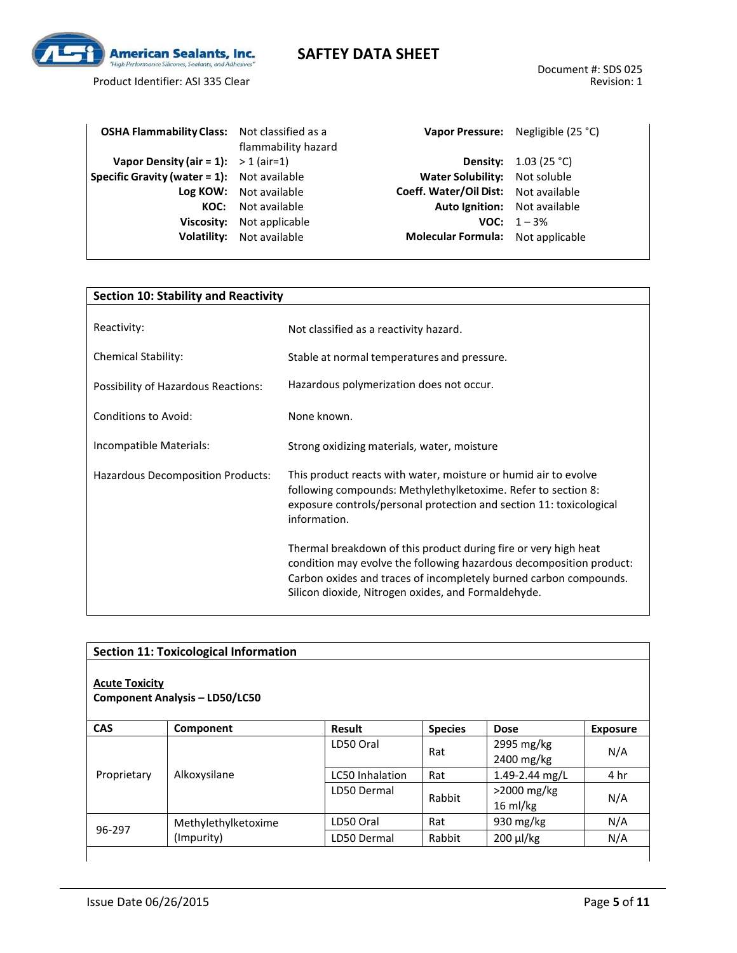

Product Identifier: ASI 335 Clear

| <b>OSHA Flammability Class:</b> Not classified as a |                                  |                                             | Vapor Pressure: Negligible (25 °C) |
|-----------------------------------------------------|----------------------------------|---------------------------------------------|------------------------------------|
|                                                     | flammability hazard              |                                             |                                    |
| Vapor Density (air = 1): $>$ 1 (air=1)              |                                  |                                             | <b>Density:</b> $1.03$ (25 °C)     |
| <b>Specific Gravity (water = 1):</b> Not available  |                                  | Water Solubility: Not soluble               |                                    |
|                                                     | Log KOW: Not available           | <b>Coeff. Water/Oil Dist:</b> Not available |                                    |
|                                                     | <b>KOC:</b> Not available        | Auto Ignition: Not available                |                                    |
|                                                     | <b>Viscosity:</b> Not applicable |                                             | <b>VOC:</b> $1 - 3\%$              |
|                                                     | <b>Volatility:</b> Not available | Molecular Formula: Not applicable           |                                    |
|                                                     |                                  |                                             |                                    |

| <b>Section 10: Stability and Reactivity</b> |                                                                                                                                                                                                                                                                    |  |
|---------------------------------------------|--------------------------------------------------------------------------------------------------------------------------------------------------------------------------------------------------------------------------------------------------------------------|--|
| Reactivity:                                 | Not classified as a reactivity hazard.                                                                                                                                                                                                                             |  |
| <b>Chemical Stability:</b>                  | Stable at normal temperatures and pressure.                                                                                                                                                                                                                        |  |
| Possibility of Hazardous Reactions:         | Hazardous polymerization does not occur.                                                                                                                                                                                                                           |  |
| <b>Conditions to Avoid:</b>                 | None known.                                                                                                                                                                                                                                                        |  |
| Incompatible Materials:                     | Strong oxidizing materials, water, moisture                                                                                                                                                                                                                        |  |
| Hazardous Decomposition Products:           | This product reacts with water, moisture or humid air to evolve<br>following compounds: Methylethylketoxime. Refer to section 8:<br>exposure controls/personal protection and section 11: toxicological<br>information.                                            |  |
|                                             | Thermal breakdown of this product during fire or very high heat<br>condition may evolve the following hazardous decomposition product:<br>Carbon oxides and traces of incompletely burned carbon compounds.<br>Silicon dioxide, Nitrogen oxides, and Formaldehyde. |  |

|                       | <b>Section 11: Toxicological Information</b> |                        |                |                                     |                 |
|-----------------------|----------------------------------------------|------------------------|----------------|-------------------------------------|-----------------|
| <b>Acute Toxicity</b> | <b>Component Analysis - LD50/LC50</b>        |                        |                |                                     |                 |
| CAS                   | Component                                    | Result                 | <b>Species</b> | <b>Dose</b>                         | <b>Exposure</b> |
|                       |                                              | LD50 Oral              | Rat            | 2995 mg/kg<br>2400 mg/kg            | N/A             |
| Proprietary           | Alkoxysilane                                 | <b>LC50 Inhalation</b> | Rat            | 1.49-2.44 mg/L                      | 4 hr            |
|                       |                                              | LD50 Dermal            | Rabbit         | $>2000$ mg/kg<br>$16 \text{ ml/kg}$ | N/A             |
|                       | Methylethylketoxime                          | LD50 Oral              | Rat            | 930 mg/kg                           | N/A             |
| 96-297                | (Impurity)                                   | LD50 Dermal            | Rabbit         | $200 \mu$ /kg                       | N/A             |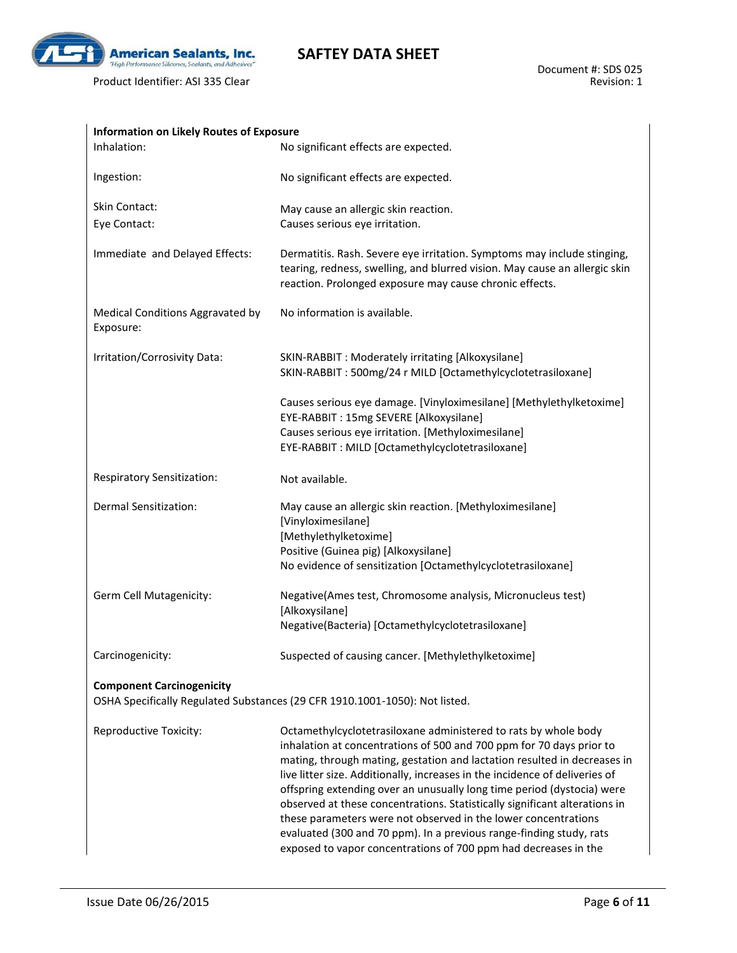

| <b>Information on Likely Routes of Exposure</b> |                                                                                                                                                                                                                                                                                                                                                                                                                                                                                                                                                                                                                                                                        |
|-------------------------------------------------|------------------------------------------------------------------------------------------------------------------------------------------------------------------------------------------------------------------------------------------------------------------------------------------------------------------------------------------------------------------------------------------------------------------------------------------------------------------------------------------------------------------------------------------------------------------------------------------------------------------------------------------------------------------------|
| Inhalation:                                     | No significant effects are expected.                                                                                                                                                                                                                                                                                                                                                                                                                                                                                                                                                                                                                                   |
| Ingestion:                                      | No significant effects are expected.                                                                                                                                                                                                                                                                                                                                                                                                                                                                                                                                                                                                                                   |
| Skin Contact:                                   | May cause an allergic skin reaction.                                                                                                                                                                                                                                                                                                                                                                                                                                                                                                                                                                                                                                   |
| Eye Contact:                                    | Causes serious eye irritation.                                                                                                                                                                                                                                                                                                                                                                                                                                                                                                                                                                                                                                         |
| Immediate and Delayed Effects:                  | Dermatitis. Rash. Severe eye irritation. Symptoms may include stinging,<br>tearing, redness, swelling, and blurred vision. May cause an allergic skin<br>reaction. Prolonged exposure may cause chronic effects.                                                                                                                                                                                                                                                                                                                                                                                                                                                       |
| Medical Conditions Aggravated by<br>Exposure:   | No information is available.                                                                                                                                                                                                                                                                                                                                                                                                                                                                                                                                                                                                                                           |
| Irritation/Corrosivity Data:                    | SKIN-RABBIT : Moderately irritating [Alkoxysilane]                                                                                                                                                                                                                                                                                                                                                                                                                                                                                                                                                                                                                     |
|                                                 | SKIN-RABBIT: 500mg/24 r MILD [Octamethylcyclotetrasiloxane]                                                                                                                                                                                                                                                                                                                                                                                                                                                                                                                                                                                                            |
|                                                 | Causes serious eye damage. [Vinyloximesilane] [Methylethylketoxime]<br>EYE-RABBIT: 15mg SEVERE [Alkoxysilane]                                                                                                                                                                                                                                                                                                                                                                                                                                                                                                                                                          |
|                                                 | Causes serious eye irritation. [Methyloximesilane]                                                                                                                                                                                                                                                                                                                                                                                                                                                                                                                                                                                                                     |
|                                                 | EYE-RABBIT: MILD [Octamethylcyclotetrasiloxane]                                                                                                                                                                                                                                                                                                                                                                                                                                                                                                                                                                                                                        |
| Respiratory Sensitization:                      | Not available.                                                                                                                                                                                                                                                                                                                                                                                                                                                                                                                                                                                                                                                         |
| Dermal Sensitization:                           | May cause an allergic skin reaction. [Methyloximesilane]<br>[Vinyloximesilane]                                                                                                                                                                                                                                                                                                                                                                                                                                                                                                                                                                                         |
|                                                 | [Methylethylketoxime]                                                                                                                                                                                                                                                                                                                                                                                                                                                                                                                                                                                                                                                  |
|                                                 | Positive (Guinea pig) [Alkoxysilane]<br>No evidence of sensitization [Octamethylcyclotetrasiloxane]                                                                                                                                                                                                                                                                                                                                                                                                                                                                                                                                                                    |
| Germ Cell Mutagenicity:                         | Negative(Ames test, Chromosome analysis, Micronucleus test)<br>[Alkoxysilane]                                                                                                                                                                                                                                                                                                                                                                                                                                                                                                                                                                                          |
|                                                 | Negative(Bacteria) [Octamethylcyclotetrasiloxane]                                                                                                                                                                                                                                                                                                                                                                                                                                                                                                                                                                                                                      |
| Carcinogenicity:                                | Suspected of causing cancer. [Methylethylketoxime]                                                                                                                                                                                                                                                                                                                                                                                                                                                                                                                                                                                                                     |
| <b>Component Carcinogenicity</b>                | OSHA Specifically Regulated Substances (29 CFR 1910.1001-1050): Not listed.                                                                                                                                                                                                                                                                                                                                                                                                                                                                                                                                                                                            |
| Reproductive Toxicity:                          | Octamethylcyclotetrasiloxane administered to rats by whole body<br>inhalation at concentrations of 500 and 700 ppm for 70 days prior to<br>mating, through mating, gestation and lactation resulted in decreases in<br>live litter size. Additionally, increases in the incidence of deliveries of<br>offspring extending over an unusually long time period (dystocia) were<br>observed at these concentrations. Statistically significant alterations in<br>these parameters were not observed in the lower concentrations<br>evaluated (300 and 70 ppm). In a previous range-finding study, rats<br>exposed to vapor concentrations of 700 ppm had decreases in the |

**SAFTEY DATA SHEET**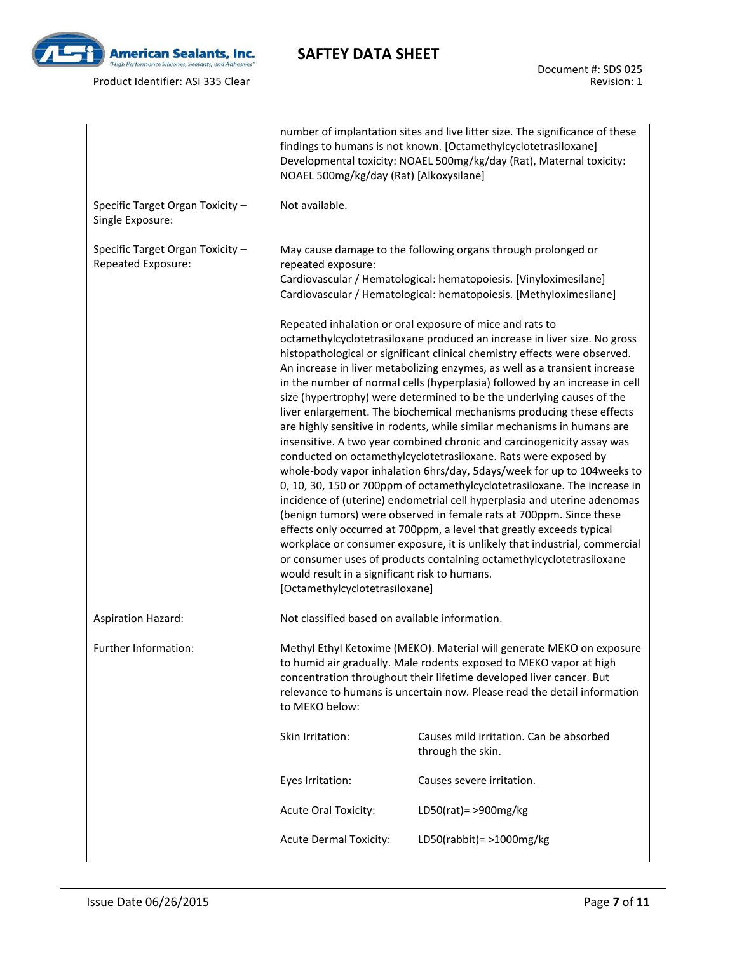

# **SAFTEY DATA SHEET**

Document #: SDS 025 Revision: 1

|                                                        | NOAEL 500mg/kg/day (Rat) [Alkoxysilane]                                         | number of implantation sites and live litter size. The significance of these<br>findings to humans is not known. [Octamethylcyclotetrasiloxane]<br>Developmental toxicity: NOAEL 500mg/kg/day (Rat), Maternal toxicity:                                                                                                                                                                                                                                                                                                                                                                                                                                                                                                                                                                                                                                                                                                                                                                                                                                                                                                                                                                                                                                                                              |
|--------------------------------------------------------|---------------------------------------------------------------------------------|------------------------------------------------------------------------------------------------------------------------------------------------------------------------------------------------------------------------------------------------------------------------------------------------------------------------------------------------------------------------------------------------------------------------------------------------------------------------------------------------------------------------------------------------------------------------------------------------------------------------------------------------------------------------------------------------------------------------------------------------------------------------------------------------------------------------------------------------------------------------------------------------------------------------------------------------------------------------------------------------------------------------------------------------------------------------------------------------------------------------------------------------------------------------------------------------------------------------------------------------------------------------------------------------------|
| Specific Target Organ Toxicity -<br>Single Exposure:   | Not available.                                                                  |                                                                                                                                                                                                                                                                                                                                                                                                                                                                                                                                                                                                                                                                                                                                                                                                                                                                                                                                                                                                                                                                                                                                                                                                                                                                                                      |
| Specific Target Organ Toxicity -<br>Repeated Exposure: | repeated exposure:                                                              | May cause damage to the following organs through prolonged or<br>Cardiovascular / Hematological: hematopoiesis. [Vinyloximesilane]<br>Cardiovascular / Hematological: hematopoiesis. [Methyloximesilane]                                                                                                                                                                                                                                                                                                                                                                                                                                                                                                                                                                                                                                                                                                                                                                                                                                                                                                                                                                                                                                                                                             |
|                                                        | would result in a significant risk to humans.<br>[Octamethylcyclotetrasiloxane] | Repeated inhalation or oral exposure of mice and rats to<br>octamethylcyclotetrasiloxane produced an increase in liver size. No gross<br>histopathological or significant clinical chemistry effects were observed.<br>An increase in liver metabolizing enzymes, as well as a transient increase<br>in the number of normal cells (hyperplasia) followed by an increase in cell<br>size (hypertrophy) were determined to be the underlying causes of the<br>liver enlargement. The biochemical mechanisms producing these effects<br>are highly sensitive in rodents, while similar mechanisms in humans are<br>insensitive. A two year combined chronic and carcinogenicity assay was<br>conducted on octamethylcyclotetrasiloxane. Rats were exposed by<br>whole-body vapor inhalation 6hrs/day, 5days/week for up to 104 weeks to<br>0, 10, 30, 150 or 700ppm of octamethylcyclotetrasiloxane. The increase in<br>incidence of (uterine) endometrial cell hyperplasia and uterine adenomas<br>(benign tumors) were observed in female rats at 700ppm. Since these<br>effects only occurred at 700ppm, a level that greatly exceeds typical<br>workplace or consumer exposure, it is unlikely that industrial, commercial<br>or consumer uses of products containing octamethylcyclotetrasiloxane |
| <b>Aspiration Hazard:</b>                              | Not classified based on available information.                                  |                                                                                                                                                                                                                                                                                                                                                                                                                                                                                                                                                                                                                                                                                                                                                                                                                                                                                                                                                                                                                                                                                                                                                                                                                                                                                                      |
| Further Information:                                   | to MEKO below:                                                                  | Methyl Ethyl Ketoxime (MEKO). Material will generate MEKO on exposure<br>to humid air gradually. Male rodents exposed to MEKO vapor at high<br>concentration throughout their lifetime developed liver cancer. But<br>relevance to humans is uncertain now. Please read the detail information                                                                                                                                                                                                                                                                                                                                                                                                                                                                                                                                                                                                                                                                                                                                                                                                                                                                                                                                                                                                       |
|                                                        | Skin Irritation:                                                                | Causes mild irritation. Can be absorbed<br>through the skin.                                                                                                                                                                                                                                                                                                                                                                                                                                                                                                                                                                                                                                                                                                                                                                                                                                                                                                                                                                                                                                                                                                                                                                                                                                         |
|                                                        | Eyes Irritation:                                                                | Causes severe irritation.                                                                                                                                                                                                                                                                                                                                                                                                                                                                                                                                                                                                                                                                                                                                                                                                                                                                                                                                                                                                                                                                                                                                                                                                                                                                            |
|                                                        | <b>Acute Oral Toxicity:</b>                                                     | LD50(rat) = $>900$ mg/kg                                                                                                                                                                                                                                                                                                                                                                                                                                                                                                                                                                                                                                                                                                                                                                                                                                                                                                                                                                                                                                                                                                                                                                                                                                                                             |
|                                                        | <b>Acute Dermal Toxicity:</b>                                                   | LD50(rabbit) = $>1000$ mg/kg                                                                                                                                                                                                                                                                                                                                                                                                                                                                                                                                                                                                                                                                                                                                                                                                                                                                                                                                                                                                                                                                                                                                                                                                                                                                         |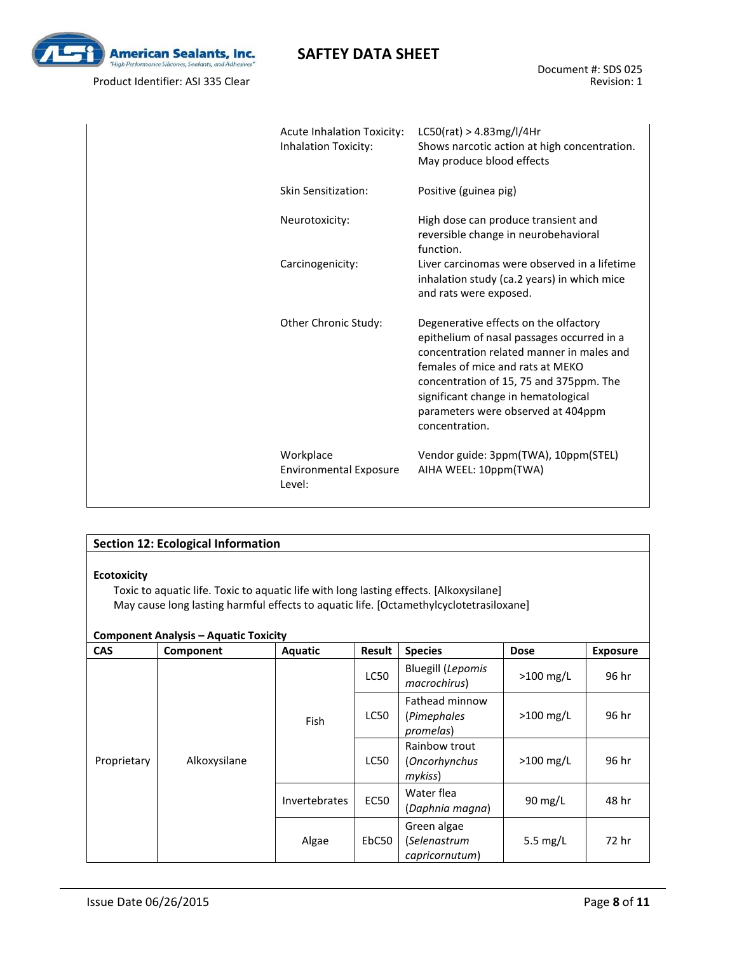

| <b>Acute Inhalation Toxicity:</b><br>Inhalation Toxicity: | LC50(rat) > 4.83mg/l/4Hr<br>Shows narcotic action at high concentration.<br>May produce blood effects                                                                                                                                                                                                          |
|-----------------------------------------------------------|----------------------------------------------------------------------------------------------------------------------------------------------------------------------------------------------------------------------------------------------------------------------------------------------------------------|
| Skin Sensitization:                                       | Positive (guinea pig)                                                                                                                                                                                                                                                                                          |
| Neurotoxicity:                                            | High dose can produce transient and<br>reversible change in neurobehavioral<br>function.                                                                                                                                                                                                                       |
| Carcinogenicity:                                          | Liver carcinomas were observed in a lifetime<br>inhalation study (ca.2 years) in which mice<br>and rats were exposed.                                                                                                                                                                                          |
| Other Chronic Study:                                      | Degenerative effects on the olfactory<br>epithelium of nasal passages occurred in a<br>concentration related manner in males and<br>females of mice and rats at MEKO<br>concentration of 15, 75 and 375ppm. The<br>significant change in hematological<br>parameters were observed at 404ppm<br>concentration. |
| Workplace<br>Environmental Exposure<br>Level:             | Vendor guide: 3ppm(TWA), 10ppm(STEL)<br>AIHA WEEL: 10ppm(TWA)                                                                                                                                                                                                                                                  |

### **Section 12: Ecological Information**

#### **Ecotoxicity**

Toxic to aquatic life. Toxic to aquatic life with long lasting effects. [Alkoxysilane] May cause long lasting harmful effects to aquatic life. [Octamethylcyclotetrasiloxane]

### **Component Analysis – Aquatic Toxicity**

| <b>CAS</b>  | Component    | Aquatic              | Result      | <b>Species</b>                                    | <b>Dose</b> | <b>Exposure</b> |
|-------------|--------------|----------------------|-------------|---------------------------------------------------|-------------|-----------------|
|             |              |                      | <b>LC50</b> | <b>Bluegill (Lepomis</b><br>macrochirus)          | $>100$ mg/L | 96 hr           |
|             |              | Fish                 | <b>LC50</b> | Fathead minnow<br>(Pimephales<br>promelas)        | $>100$ mg/L | 96 hr           |
| Proprietary | Alkoxysilane |                      | <b>LC50</b> | Rainbow trout<br>(Oncorhynchus<br>$m\nu$ kiss $)$ | $>100$ mg/L | 96 hr           |
|             |              | <b>Invertebrates</b> | <b>EC50</b> | Water flea<br>(Daphnia magna)                     | 90 $mg/L$   | 48 hr           |
|             |              | Algae                | EbC50       | Green algae<br>(Selenastrum<br>capricornutum)     | 5.5 $mg/L$  | 72 hr           |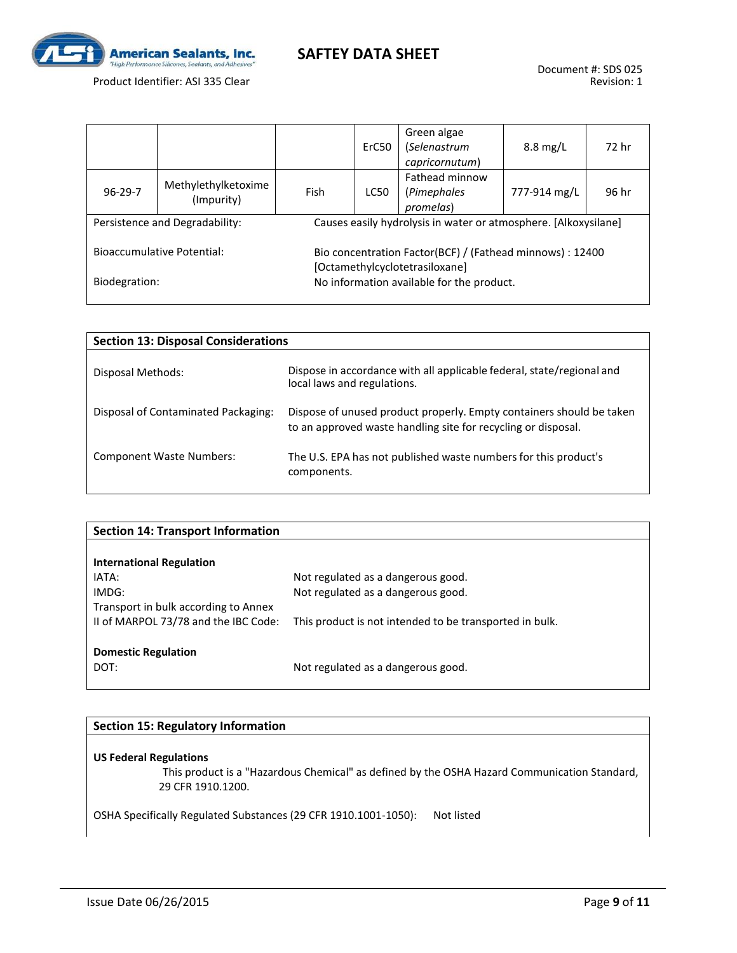

Product Identifier: ASI 335 Clear

|                                   |                                   |                                           | ErC50                                                           | Green algae<br>(Selenastrum<br>capricornutum)                                               | $8.8 \text{ mg/L}$ | 72 hr |  |  |
|-----------------------------------|-----------------------------------|-------------------------------------------|-----------------------------------------------------------------|---------------------------------------------------------------------------------------------|--------------------|-------|--|--|
| $96 - 29 - 7$                     | Methylethylketoxime<br>(Impurity) | Fish                                      | <b>LC50</b>                                                     | Fathead minnow<br>(Pimephales<br>promelas)                                                  | 777-914 mg/L       | 96 hr |  |  |
| Persistence and Degradability:    |                                   |                                           | Causes easily hydrolysis in water or atmosphere. [Alkoxysilane] |                                                                                             |                    |       |  |  |
| <b>Bioaccumulative Potential:</b> |                                   |                                           |                                                                 | Bio concentration Factor(BCF) / (Fathead minnows) : 12400<br>[Octamethylcyclotetrasiloxane] |                    |       |  |  |
| Biodegration:                     |                                   | No information available for the product. |                                                                 |                                                                                             |                    |       |  |  |

| <b>Section 13: Disposal Considerations</b> |                                                                                                                                       |  |  |  |
|--------------------------------------------|---------------------------------------------------------------------------------------------------------------------------------------|--|--|--|
| Disposal Methods:                          | Dispose in accordance with all applicable federal, state/regional and<br>local laws and regulations.                                  |  |  |  |
| Disposal of Contaminated Packaging:        | Dispose of unused product properly. Empty containers should be taken<br>to an approved waste handling site for recycling or disposal. |  |  |  |
| <b>Component Waste Numbers:</b>            | The U.S. EPA has not published waste numbers for this product's<br>components.                                                        |  |  |  |

| <b>Section 14: Transport Information</b> |                                                         |
|------------------------------------------|---------------------------------------------------------|
|                                          |                                                         |
| <b>International Regulation</b>          |                                                         |
| IATA:                                    | Not regulated as a dangerous good.                      |
| IMDG:                                    | Not regulated as a dangerous good.                      |
| Transport in bulk according to Annex     |                                                         |
| II of MARPOL 73/78 and the IBC Code:     | This product is not intended to be transported in bulk. |
|                                          |                                                         |
| <b>Domestic Regulation</b>               |                                                         |
| DOT:                                     | Not regulated as a dangerous good.                      |
|                                          |                                                         |

### **Section 15: Regulatory Information**

#### **US Federal Regulations**

 This product is a "Hazardous Chemical" as defined by the OSHA Hazard Communication Standard, 29 CFR 1910.1200.

OSHA Specifically Regulated Substances (29 CFR 1910.1001-1050): Not listed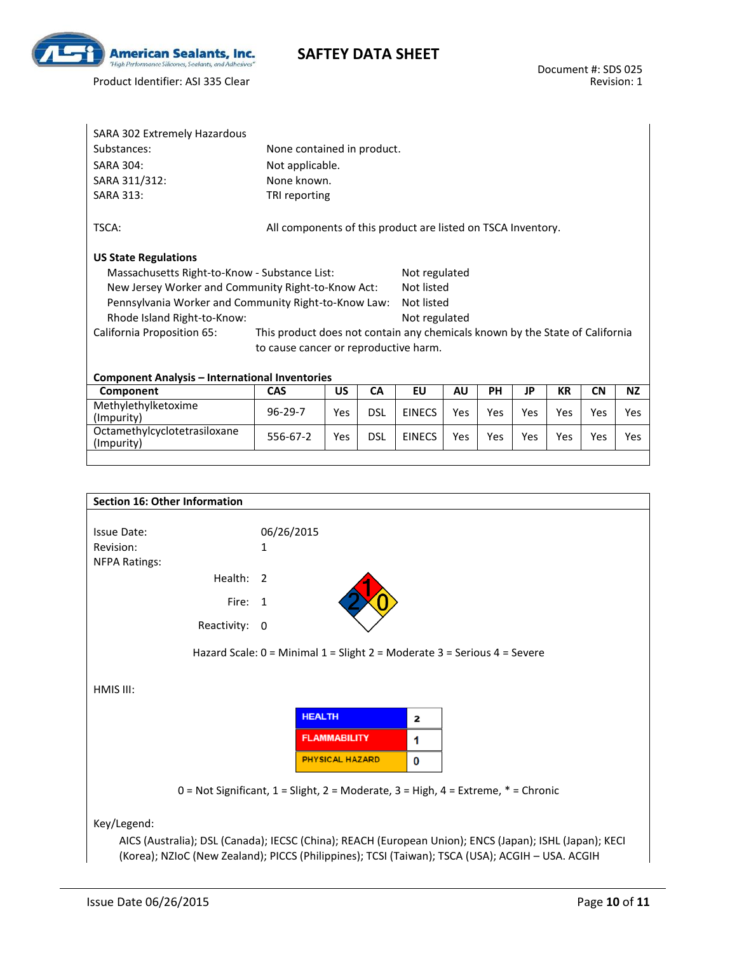

Product Identifier: ASI 335 Clear

| SARA 302 Extremely Hazardous                          |                                                                              |     |            |               |           |            |     |           |            |           |
|-------------------------------------------------------|------------------------------------------------------------------------------|-----|------------|---------------|-----------|------------|-----|-----------|------------|-----------|
| Substances:                                           | None contained in product.                                                   |     |            |               |           |            |     |           |            |           |
| <b>SARA 304:</b>                                      | Not applicable.                                                              |     |            |               |           |            |     |           |            |           |
| SARA 311/312:                                         | None known.                                                                  |     |            |               |           |            |     |           |            |           |
| <b>SARA 313:</b>                                      | TRI reporting                                                                |     |            |               |           |            |     |           |            |           |
| TSCA:                                                 | All components of this product are listed on TSCA Inventory.                 |     |            |               |           |            |     |           |            |           |
| <b>US State Regulations</b>                           |                                                                              |     |            |               |           |            |     |           |            |           |
| Massachusetts Right-to-Know - Substance List:         |                                                                              |     |            | Not regulated |           |            |     |           |            |           |
| New Jersey Worker and Community Right-to-Know Act:    |                                                                              |     |            | Not listed    |           |            |     |           |            |           |
| Pennsylvania Worker and Community Right-to-Know Law:  |                                                                              |     |            | Not listed    |           |            |     |           |            |           |
| Rhode Island Right-to-Know:                           |                                                                              |     |            | Not regulated |           |            |     |           |            |           |
| California Proposition 65:                            | This product does not contain any chemicals known by the State of California |     |            |               |           |            |     |           |            |           |
|                                                       | to cause cancer or reproductive harm.                                        |     |            |               |           |            |     |           |            |           |
|                                                       |                                                                              |     |            |               |           |            |     |           |            |           |
| <b>Component Analysis - International Inventories</b> |                                                                              |     |            |               |           |            |     |           |            |           |
| Component                                             | <b>CAS</b>                                                                   | US. | <b>CA</b>  | EU            | <b>AU</b> | <b>PH</b>  | JP  | <b>KR</b> | <b>CN</b>  | <b>NZ</b> |
| Methylethylketoxime<br>(Impurity)                     | $96 - 29 - 7$                                                                | Yes | <b>DSL</b> | <b>EINECS</b> | Yes       | <b>Yes</b> | Yes | Yes       | <b>Yes</b> | Yes.      |

Octamethylcyclotetrasiloxane | 556-67-2 | Yes | DSL | EINECS | Yes | Yes | Yes | Yes | Yes | Yes | Yes<br>(Impurity)

|                      | <b>Section 16: Other Information</b> |                |                        |   |                                                                                               |
|----------------------|--------------------------------------|----------------|------------------------|---|-----------------------------------------------------------------------------------------------|
| <b>Issue Date:</b>   |                                      | 06/26/2015     |                        |   |                                                                                               |
| Revision:            |                                      | 1              |                        |   |                                                                                               |
| <b>NFPA Ratings:</b> |                                      |                |                        |   |                                                                                               |
|                      | Health:                              | $\overline{2}$ |                        |   |                                                                                               |
|                      | Fire:                                | -1             |                        |   |                                                                                               |
|                      | Reactivity:                          | 0              |                        |   |                                                                                               |
| HMIS III:            |                                      |                |                        |   |                                                                                               |
|                      |                                      |                | <b>HEALTH</b>          | 2 |                                                                                               |
|                      |                                      |                | <b>FLAMMABILITY</b>    | 1 |                                                                                               |
|                      |                                      |                | <b>PHYSICAL HAZARD</b> | 0 |                                                                                               |
|                      |                                      |                |                        |   |                                                                                               |
|                      |                                      |                |                        |   | $0 = Not$ Significant, $1 =$ Slight, $2 =$ Moderate, $3 =$ High, $4 =$ Extreme, $* =$ Chronic |